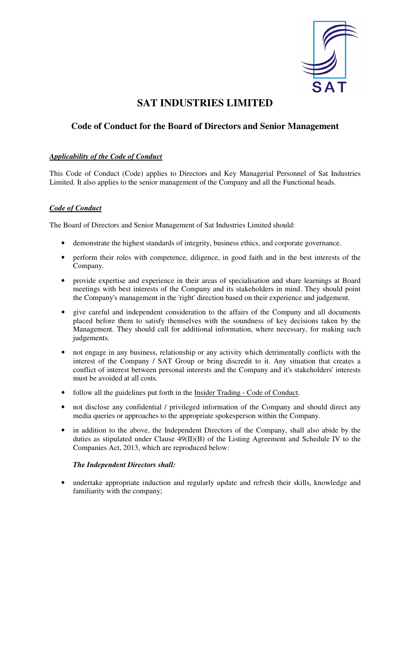

# **SAT INDUSTRIES LIMITED**

## **Code of Conduct for the Board of Directors and Senior Management**

### *Applicability of the Code of Conduct*

This Code of Conduct (Code) applies to Directors and Key Managerial Personnel of Sat Industries Limited. It also applies to the senior management of the Company and all the Functional heads.

### *Code of Conduct*

The Board of Directors and Senior Management of Sat Industries Limited should:

- demonstrate the highest standards of integrity, business ethics, and corporate governance.
- perform their roles with competence, diligence, in good faith and in the best interests of the Company.
- provide expertise and experience in their areas of specialisation and share learnings at Board meetings with best interests of the Company and its stakeholders in mind. They should point the Company's management in the 'right' direction based on their experience and judgement.
- give careful and independent consideration to the affairs of the Company and all documents placed before them to satisfy themselves with the soundness of key decisions taken by the Management. They should call for additional information, where necessary, for making such judgements.
- not engage in any business, relationship or any activity which detrimentally conflicts with the interest of the Company / SAT Group or bring discredit to it. Any situation that creates a conflict of interest between personal interests and the Company and it's stakeholders' interests must be avoided at all costs.
- follow all the guidelines put forth in the Insider Trading Code of Conduct.
- not disclose any confidential / privileged information of the Company and should direct any media queries or approaches to the appropriate spokesperson within the Company.
- in addition to the above, the Independent Directors of the Company, shall also abide by the duties as stipulated under Clause 49(II)(B) of the Listing Agreement and Schedule IV to the Companies Act, 2013, which are reproduced below:

#### *The Independent Directors shall:*

• undertake appropriate induction and regularly update and refresh their skills, knowledge and familiarity with the company;